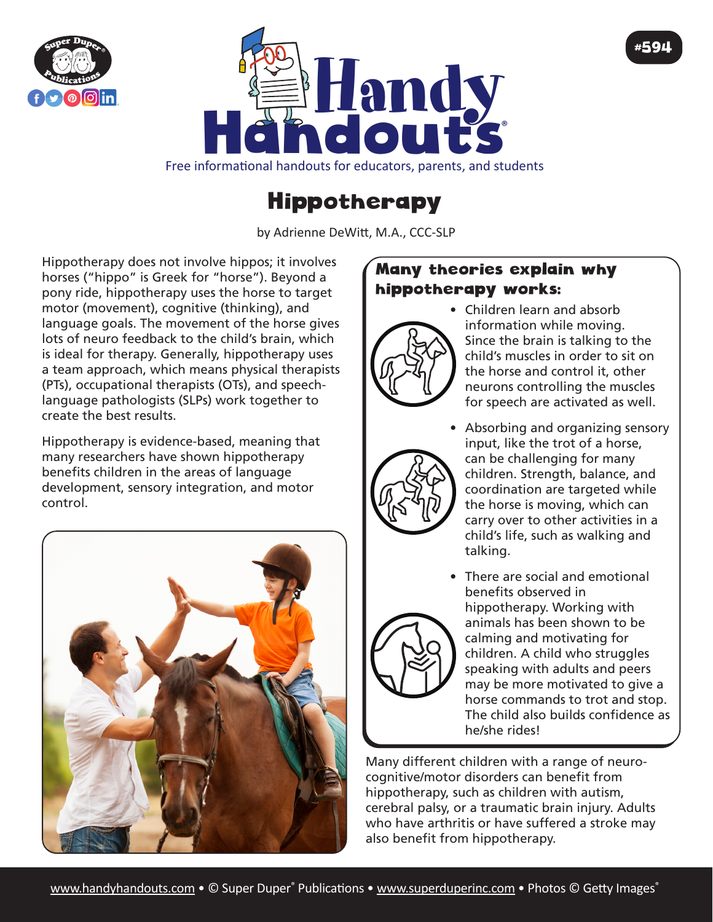



Free informational handouts for educators, parents, and students

## Hippotherapy

by Adrienne DeWitt, M.A., CCC-SLP

Hippotherapy does not involve hippos; it involves horses ("hippo" is Greek for "horse"). Beyond a pony ride, hippotherapy uses the horse to target motor (movement), cognitive (thinking), and language goals. The movement of the horse gives lots of neuro feedback to the child's brain, which is ideal for therapy. Generally, hippotherapy uses a team approach, which means physical therapists (PTs), occupational therapists (OTs), and speechlanguage pathologists (SLPs) work together to create the best results.

Hippotherapy is evidence-based, meaning that many researchers have shown hippotherapy benefits children in the areas of language development, sensory integration, and motor control.



## Many theories explain why hippotherapy works:



• Children learn and absorb information while moving. Since the brain is talking to the child's muscles in order to sit on the horse and control it, other neurons controlling the muscles for speech are activated as well.

#594



- Absorbing and organizing sensory input, like the trot of a horse, can be challenging for many children. Strength, balance, and coordination are targeted while the horse is moving, which can carry over to other activities in a child's life, such as walking and talking.
- 
- There are social and emotional benefits observed in hippotherapy. Working with animals has been shown to be calming and motivating for children. A child who struggles speaking with adults and peers may be more motivated to give a horse commands to trot and stop. The child also builds confidence as he/she rides!

Many different children with a range of neurocognitive/motor disorders can benefit from hippotherapy, such as children with autism, cerebral palsy, or a traumatic brain injury. Adults who have arthritis or have suffered a stroke may also benefit from hippotherapy.